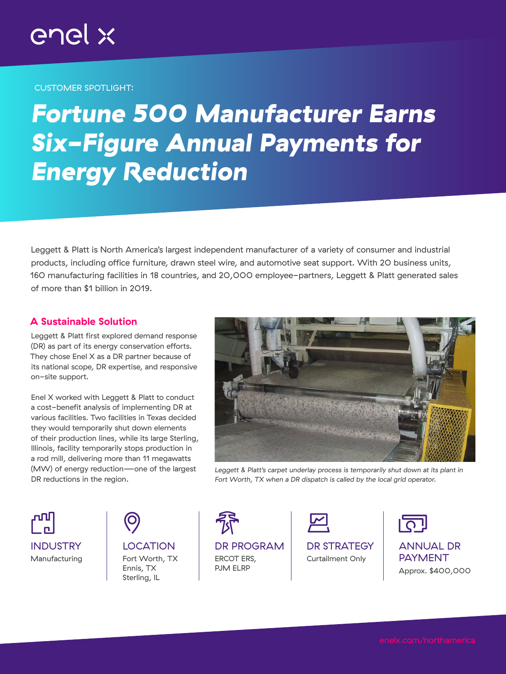#### CUSTOMER SPOTLIGHT:

# *Fortune 500 Manufacturer Earns Six-Figure Annual Payments for Energy Reduction*

Leggett & Platt is North America's largest independent manufacturer of a variety of consumer and industrial products, including office furniture, drawn steel wire, and automotive seat support. With 20 business units, 160 manufacturing facilities in 18 countries, and 20,000 employee-partners, Leggett & Platt generated sales of more than \$1 billion in 2019.

#### A Sustainable Solution

Leggett & Platt first explored demand response (DR) as part of its energy conservation efforts. They chose Enel X as a DR partner because of its national scope, DR expertise, and responsive on-site support.

Enel X worked with Leggett & Platt to conduct a cost-benefit analysis of implementing DR at various facilities. Two facilities in Texas decided they would temporarily shut down elements of their production lines, while its large Sterling, Illinois, facility temporarily stops production in a rod mill, delivering more than 11 megawatts (MW) of energy reduction—one of the largest DR reductions in the region.



Leggett & Platt's carpet underlay process is temporarily shut down at its plant in *Fort Worth, TX when a DR dispatch is called by the local grid operator.*

ľЫ INDUSTRY Manufacturing

**LOCATION** Fort Worth, TX Ennis, TX Sterling, IL

帑 DR PROGRAM ERCOT ERS, PJM ELRP

DR STRATEGY Curtailment Only



ANNUAL DR PAYMENT Approx. \$400,000